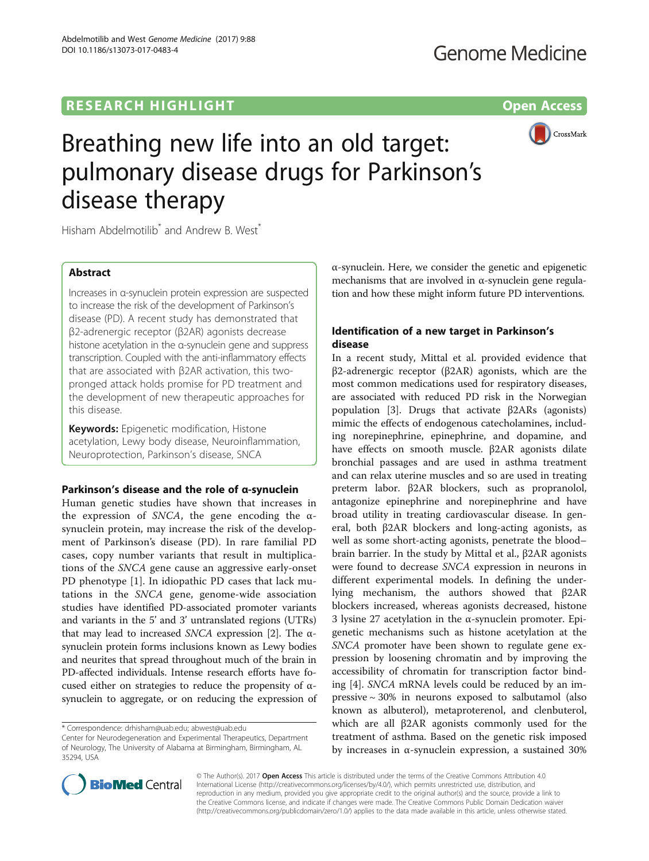# **RESEARCH HIGHLIGHT CONSUMING THE OPEN ACCESS**



# Breathing new life into an old target: pulmonary disease drugs for Parkinson's disease therapy

Hisham Abdelmotilib<sup>\*</sup> and Andrew B. West<sup>\*</sup>

# Abstract

Increases in α-synuclein protein expression are suspected to increase the risk of the development of Parkinson's disease (PD). A recent study has demonstrated that β2-adrenergic receptor (β2AR) agonists decrease histone acetylation in the α-synuclein gene and suppress transcription. Coupled with the anti-inflammatory effects that are associated with β2AR activation, this twopronged attack holds promise for PD treatment and the development of new therapeutic approaches for this disease.

**Keywords:** Epigenetic modification, Histone acetylation, Lewy body disease, Neuroinflammation, Neuroprotection, Parkinson's disease, SNCA

## Parkinson's disease and the role of α-synuclein

Human genetic studies have shown that increases in the expression of SNCA, the gene encoding the  $\alpha$ synuclein protein, may increase the risk of the development of Parkinson's disease (PD). In rare familial PD cases, copy number variants that result in multiplications of the SNCA gene cause an aggressive early-onset PD phenotype [[1\]](#page-2-0). In idiopathic PD cases that lack mutations in the SNCA gene, genome-wide association studies have identified PD-associated promoter variants and variants in the 5' and 3' untranslated regions (UTRs) that may lead to increased *SNCA* expression [\[2](#page-2-0)]. The αsynuclein protein forms inclusions known as Lewy bodies and neurites that spread throughout much of the brain in PD-affected individuals. Intense research efforts have focused either on strategies to reduce the propensity of  $\alpha$ synuclein to aggregate, or on reducing the expression of α-synuclein. Here, we consider the genetic and epigenetic mechanisms that are involved in α-synuclein gene regulation and how these might inform future PD interventions.

# Identification of a new target in Parkinson's disease

In a recent study, Mittal et al. provided evidence that β2-adrenergic receptor (β2AR) agonists, which are the most common medications used for respiratory diseases, are associated with reduced PD risk in the Norwegian population [\[3](#page-2-0)]. Drugs that activate β2ARs (agonists) mimic the effects of endogenous catecholamines, including norepinephrine, epinephrine, and dopamine, and have effects on smooth muscle. β2AR agonists dilate bronchial passages and are used in asthma treatment and can relax uterine muscles and so are used in treating preterm labor. β2AR blockers, such as propranolol, antagonize epinephrine and norepinephrine and have broad utility in treating cardiovascular disease. In general, both β2AR blockers and long-acting agonists, as well as some short-acting agonists, penetrate the blood– brain barrier. In the study by Mittal et al., β2AR agonists were found to decrease SNCA expression in neurons in different experimental models. In defining the underlying mechanism, the authors showed that β2AR blockers increased, whereas agonists decreased, histone 3 lysine 27 acetylation in the α-synuclein promoter. Epigenetic mechanisms such as histone acetylation at the SNCA promoter have been shown to regulate gene expression by loosening chromatin and by improving the accessibility of chromatin for transcription factor binding [[4\]](#page-2-0). SNCA mRNA levels could be reduced by an impressive  $\sim$  30% in neurons exposed to salbutamol (also known as albuterol), metaproterenol, and clenbuterol, which are all β2AR agonists commonly used for the treatment of asthma. Based on the genetic risk imposed by increases in α-synuclein expression, a sustained 30%



© The Author(s). 2017 **Open Access** This article is distributed under the terms of the Creative Commons Attribution 4.0 International License [\(http://creativecommons.org/licenses/by/4.0/](http://creativecommons.org/licenses/by/4.0/)), which permits unrestricted use, distribution, and reproduction in any medium, provided you give appropriate credit to the original author(s) and the source, provide a link to the Creative Commons license, and indicate if changes were made. The Creative Commons Public Domain Dedication waiver [\(http://creativecommons.org/publicdomain/zero/1.0/](http://creativecommons.org/publicdomain/zero/1.0/)) applies to the data made available in this article, unless otherwise stated.

<sup>\*</sup> Correspondence: [drhisham@uab.edu](mailto:drhisham@uab.edu); [abwest@uab.edu](mailto:abwest@uab.edu)

Center for Neurodegeneration and Experimental Therapeutics, Department of Neurology, The University of Alabama at Birmingham, Birmingham, AL 35294, USA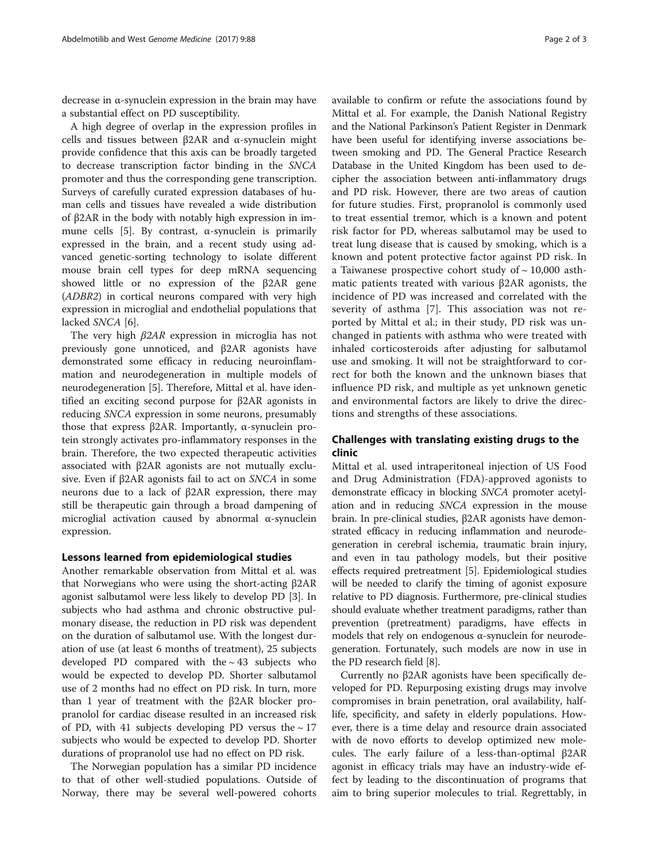decrease in α-synuclein expression in the brain may have a substantial effect on PD susceptibility.

A high degree of overlap in the expression profiles in cells and tissues between β2AR and α-synuclein might provide confidence that this axis can be broadly targeted to decrease transcription factor binding in the SNCA promoter and thus the corresponding gene transcription. Surveys of carefully curated expression databases of human cells and tissues have revealed a wide distribution of β2AR in the body with notably high expression in im-mune cells [\[5](#page-2-0)]. By contrast,  $\alpha$ -synuclein is primarily expressed in the brain, and a recent study using advanced genetic-sorting technology to isolate different mouse brain cell types for deep mRNA sequencing showed little or no expression of the β2AR gene (ADBR2) in cortical neurons compared with very high expression in microglial and endothelial populations that lacked SNCA [\[6](#page-2-0)].

The very high β2AR expression in microglia has not previously gone unnoticed, and β2AR agonists have demonstrated some efficacy in reducing neuroinflammation and neurodegeneration in multiple models of neurodegeneration [[5](#page-2-0)]. Therefore, Mittal et al. have identified an exciting second purpose for β2AR agonists in reducing SNCA expression in some neurons, presumably those that express β2AR. Importantly, α-synuclein protein strongly activates pro-inflammatory responses in the brain. Therefore, the two expected therapeutic activities associated with β2AR agonists are not mutually exclusive. Even if β2AR agonists fail to act on SNCA in some neurons due to a lack of β2AR expression, there may still be therapeutic gain through a broad dampening of microglial activation caused by abnormal α-synuclein expression.

## Lessons learned from epidemiological studies

Another remarkable observation from Mittal et al. was that Norwegians who were using the short-acting β2AR agonist salbutamol were less likely to develop PD [\[3](#page-2-0)]. In subjects who had asthma and chronic obstructive pulmonary disease, the reduction in PD risk was dependent on the duration of salbutamol use. With the longest duration of use (at least 6 months of treatment), 25 subjects developed PD compared with the  $\sim$  43 subjects who would be expected to develop PD. Shorter salbutamol use of 2 months had no effect on PD risk. In turn, more than 1 year of treatment with the β2AR blocker propranolol for cardiac disease resulted in an increased risk of PD, with 41 subjects developing PD versus the  $\sim$  17 subjects who would be expected to develop PD. Shorter durations of propranolol use had no effect on PD risk.

The Norwegian population has a similar PD incidence to that of other well-studied populations. Outside of Norway, there may be several well-powered cohorts

available to confirm or refute the associations found by Mittal et al. For example, the Danish National Registry and the National Parkinson's Patient Register in Denmark have been useful for identifying inverse associations between smoking and PD. The General Practice Research Database in the United Kingdom has been used to decipher the association between anti-inflammatory drugs and PD risk. However, there are two areas of caution for future studies. First, propranolol is commonly used to treat essential tremor, which is a known and potent risk factor for PD, whereas salbutamol may be used to treat lung disease that is caused by smoking, which is a known and potent protective factor against PD risk. In a Taiwanese prospective cohort study of  $\sim$  10,000 asthmatic patients treated with various β2AR agonists, the incidence of PD was increased and correlated with the severity of asthma [[7\]](#page-2-0). This association was not reported by Mittal et al.; in their study, PD risk was unchanged in patients with asthma who were treated with inhaled corticosteroids after adjusting for salbutamol use and smoking. It will not be straightforward to correct for both the known and the unknown biases that influence PD risk, and multiple as yet unknown genetic and environmental factors are likely to drive the directions and strengths of these associations.

# Challenges with translating existing drugs to the clinic

Mittal et al. used intraperitoneal injection of US Food and Drug Administration (FDA)-approved agonists to demonstrate efficacy in blocking SNCA promoter acetylation and in reducing SNCA expression in the mouse brain. In pre-clinical studies, β2AR agonists have demonstrated efficacy in reducing inflammation and neurodegeneration in cerebral ischemia, traumatic brain injury, and even in tau pathology models, but their positive effects required pretreatment [\[5\]](#page-2-0). Epidemiological studies will be needed to clarify the timing of agonist exposure relative to PD diagnosis. Furthermore, pre-clinical studies should evaluate whether treatment paradigms, rather than prevention (pretreatment) paradigms, have effects in models that rely on endogenous α-synuclein for neurodegeneration. Fortunately, such models are now in use in the PD research field [\[8\]](#page-2-0).

Currently no β2AR agonists have been specifically developed for PD. Repurposing existing drugs may involve compromises in brain penetration, oral availability, halflife, specificity, and safety in elderly populations. However, there is a time delay and resource drain associated with de novo efforts to develop optimized new molecules. The early failure of a less-than-optimal β2AR agonist in efficacy trials may have an industry-wide effect by leading to the discontinuation of programs that aim to bring superior molecules to trial. Regrettably, in